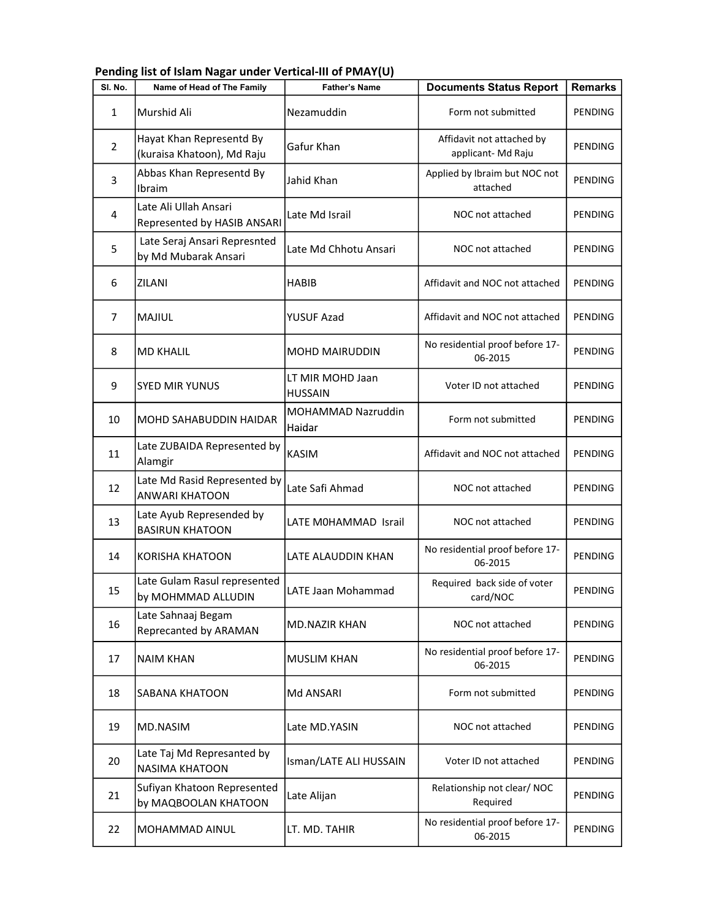| SI. No.        | Name of Head of The Family                             | <b>Father's Name</b>               | <b>Documents Status Report</b>                 | <b>Remarks</b> |
|----------------|--------------------------------------------------------|------------------------------------|------------------------------------------------|----------------|
| $\mathbf{1}$   | Murshid Ali                                            | Nezamuddin                         | Form not submitted                             | PENDING        |
| $\overline{2}$ | Hayat Khan Representd By<br>(kuraisa Khatoon), Md Raju | Gafur Khan                         | Affidavit not attached by<br>applicant-Md Raju | PENDING        |
| 3              | Abbas Khan Representd By<br>Ibraim                     | Jahid Khan                         | Applied by Ibraim but NOC not<br>attached      | <b>PENDING</b> |
| 4              | Late Ali Ullah Ansari<br>Represented by HASIB ANSARI   | Late Md Israil                     | NOC not attached                               | PENDING        |
| 5              | Late Seraj Ansari Represnted<br>by Md Mubarak Ansari   | Late Md Chhotu Ansari              | NOC not attached                               | PENDING        |
| 6              | ZILANI                                                 | <b>HABIB</b>                       | Affidavit and NOC not attached                 | PENDING        |
| $\overline{7}$ | <b>MAJIUL</b>                                          | <b>YUSUF Azad</b>                  | Affidavit and NOC not attached                 | PENDING        |
| 8              | <b>MD KHALIL</b>                                       | <b>MOHD MAIRUDDIN</b>              | No residential proof before 17-<br>06-2015     | <b>PENDING</b> |
| 9              | <b>SYED MIR YUNUS</b>                                  | LT MIR MOHD Jaan<br><b>HUSSAIN</b> | Voter ID not attached                          | PENDING        |
| 10             | <b>MOHD SAHABUDDIN HAIDAR</b>                          | MOHAMMAD Nazruddin<br>Haidar       | Form not submitted                             | PENDING        |
| 11             | Late ZUBAIDA Represented by<br>Alamgir                 | <b>KASIM</b>                       | Affidavit and NOC not attached                 | PENDING        |
| 12             | Late Md Rasid Represented by<br><b>ANWARI KHATOON</b>  | Late Safi Ahmad                    | NOC not attached                               | PENDING        |
| 13             | Late Ayub Represended by<br><b>BASIRUN KHATOON</b>     | LATE MOHAMMAD Israil               | NOC not attached                               | PENDING        |
| 14             | <b>KORISHA KHATOON</b>                                 | LATE ALAUDDIN KHAN                 | No residential proof before 17-<br>06-2015     | PENDING        |
| 15             | Late Gulam Rasul represented<br>by MOHMMAD ALLUDIN     | LATE Jaan Mohammad                 | Required back side of voter<br>card/NOC        | PENDING        |
| 16             | Late Sahnaaj Begam<br>Reprecanted by ARAMAN            | <b>MD.NAZIR KHAN</b>               | NOC not attached                               | PENDING        |
| 17             | <b>NAIM KHAN</b>                                       | <b>MUSLIM KHAN</b>                 | No residential proof before 17-<br>06-2015     | PENDING        |
| 18             | <b>SABANA KHATOON</b>                                  | Md ANSARI                          | Form not submitted                             | PENDING        |
| 19             | MD.NASIM                                               | Late MD.YASIN                      | NOC not attached                               | PENDING        |
| 20             | Late Taj Md Represanted by<br><b>NASIMA KHATOON</b>    | Isman/LATE ALI HUSSAIN             | Voter ID not attached                          | PENDING        |
| 21             | Sufiyan Khatoon Represented<br>by MAQBOOLAN KHATOON    | Late Alijan                        | Relationship not clear/ NOC<br>Required        | PENDING        |
| 22             | MOHAMMAD AINUL                                         | LT. MD. TAHIR                      | No residential proof before 17-<br>06-2015     | PENDING        |

Pending list of Islam Nagar under Vertical-III of PMAY(U)